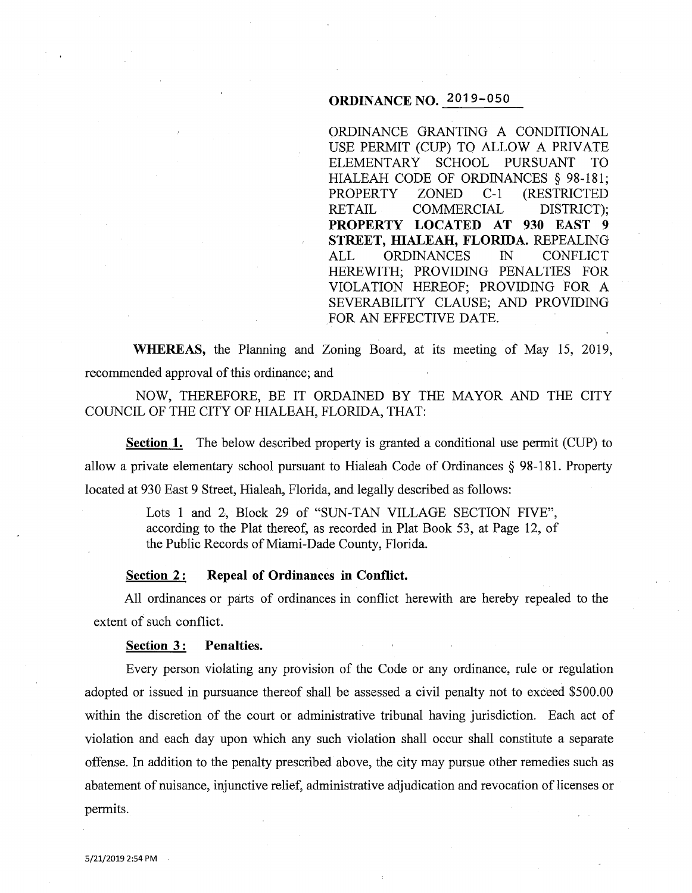# **ORDINANCE NO.** 2019-050

ORDINANCE GRANTING A CONDITIONAL USE PERMIT (CUP) TO ALLOW A PRIVATE ELEMENTARY SCHOOL PURSUANT TO HIALEAH CODE OF ORDINANCES § 98-181;<br>PROPERTY ZONED C-1 (RESTRICTED ZONED C-1 (RESTRICTED RETAIL COMMERCIAL DISTRICT); **PROPERTY LOCATED AT 930 EAST 9 STREET, HIALEAH, FLORIDA.** REPEALING ALL ORDINANCES IN CONFLICT HEREWITH; PROVIDING PENALTIES FOR VIOLATION HEREOF; PROVIDING FOR A SEVERABILITY CLAUSE; AND PROVIDING FOR AN EFFECTIVE DATE.

**WHEREAS,** the Planning and Zoning Board, at its meeting of May 15, 2019, recommended approval of this ordinance; and

NOW, THEREFORE, BE IT ORDAINED BY THE MAYOR AND THE CITY COUNCIL OF THE CITY OF HIALEAH, FLORIDA, THAT:

**Section 1.** The below described property is granted a conditional use permit (CUP) to allow a private elementary school pursuant to Hialeah Code of Ordinances § 98-181. Property located at 930 East 9 Street, Hialeah, Florida, and legally described as follows:

> Lots 1 and 2, Block 29 of "SUN-TAN VILLAGE SECTION FIVE", according to the Plat thereof, as recorded in Plat Book 53, at Page 12, of the Public Records of Miami-Dade County, Florida.

### **<u>Section 2</u>: Repeal of Ordinances in Conflict.**

All ordinances or parts of ordinances in conflict herewith are hereby repealed to the extent of such conflict.

#### Section 3: Penalties.

Every person violating any provision of the Code or any ordinance, rule or regulation adopted or issued in pursuance thereof shall be assessed a civil penalty not to exceed \$500.00 within the discretion of the court or administrative tribunal having jurisdiction. Each act of violation and each day upon which any such violation shall occur shall constitute a separate offense. In addition to the penalty prescribed above, the city may pursue other remedies such as abatement of nuisance, injunctive relief, administrative adjudication and revocation of licenses or permits.